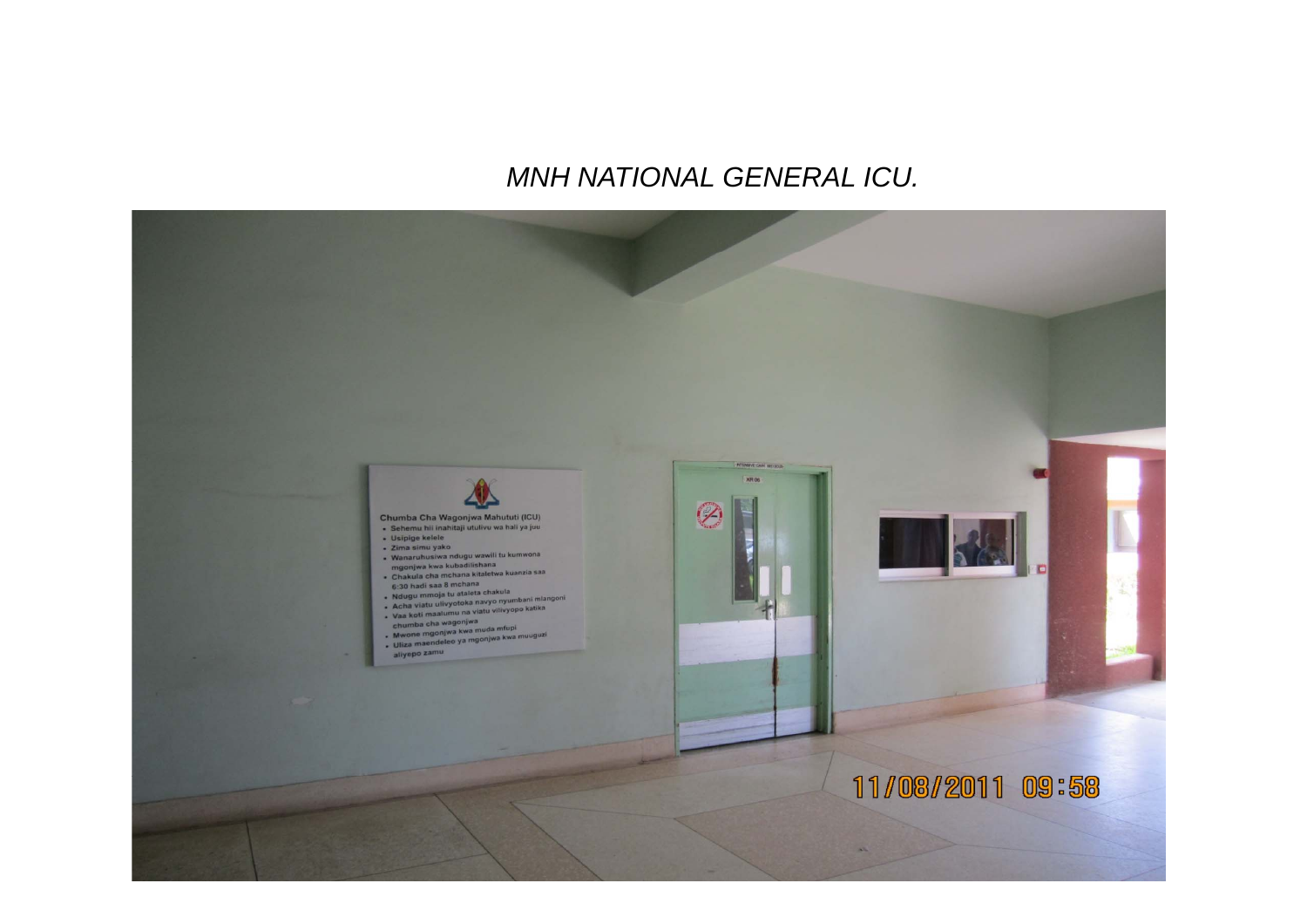#### *MNH NATIONAL GENERAL ICU.*

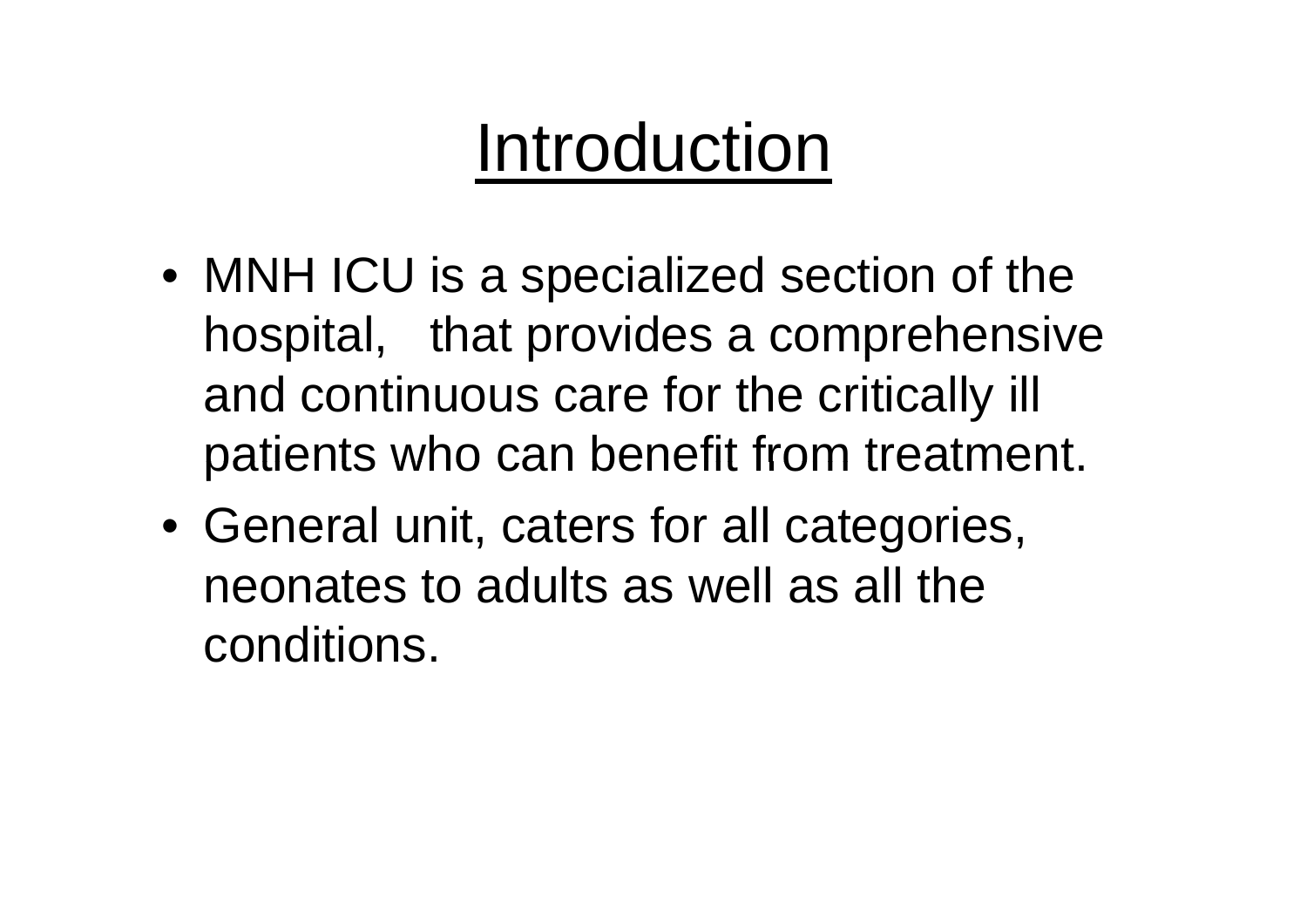# Introduction

- MNH ICU is a specialized section of the hospital, that provides a comprehensive and continuous care for the critically ill patients who can benefit from treatment.
- General unit, caters for all categories, neonates to adults as well as all the conditions.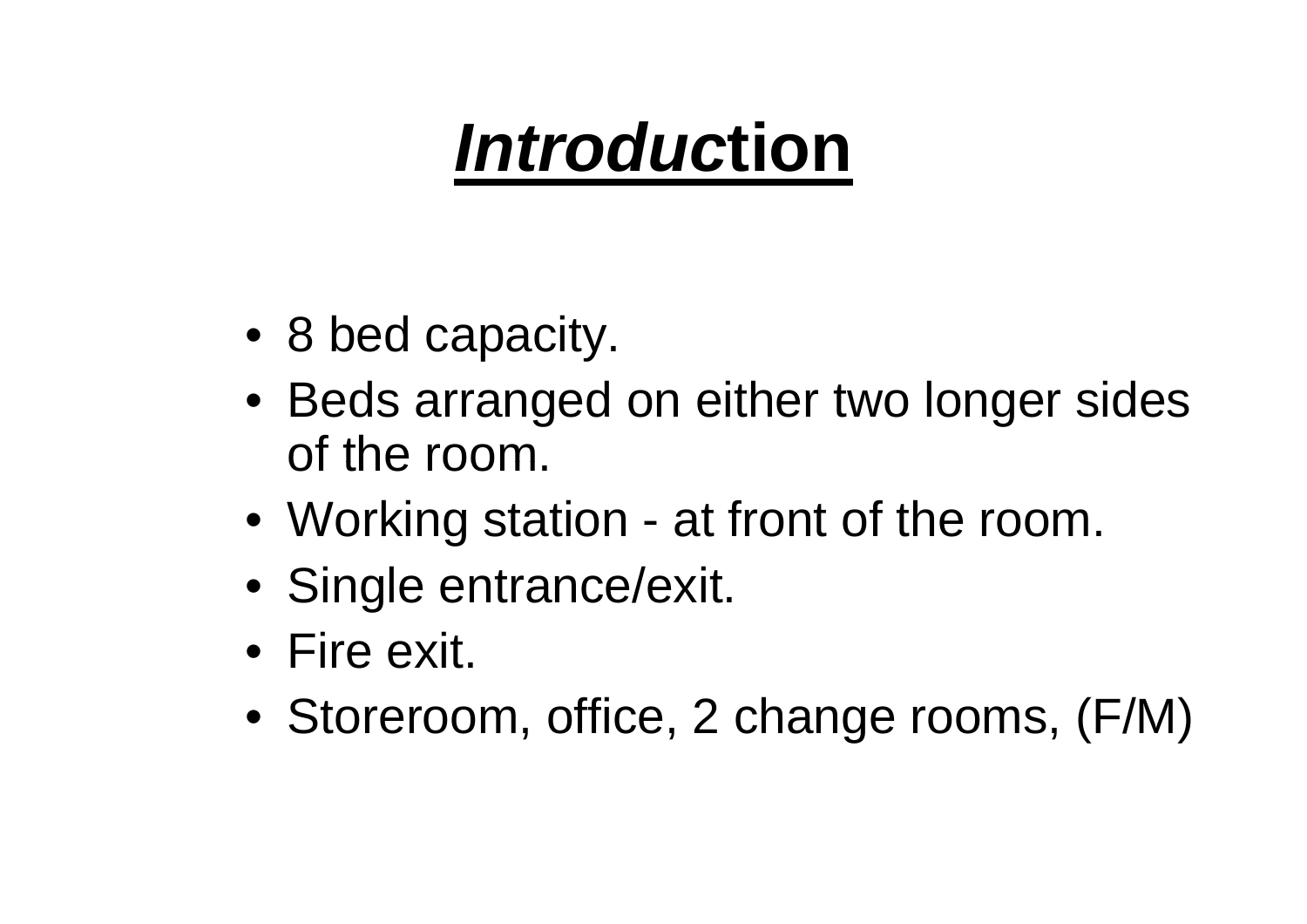# *Introduc***tion**

- $\bullet\,$  8 bed capacity.
- Beds arranged on either two longer sides of the room.
- Working station at front of the room.
- Single entrance/exit.
- Fire exit.
- Storeroom, office, 2 change rooms, (F/M)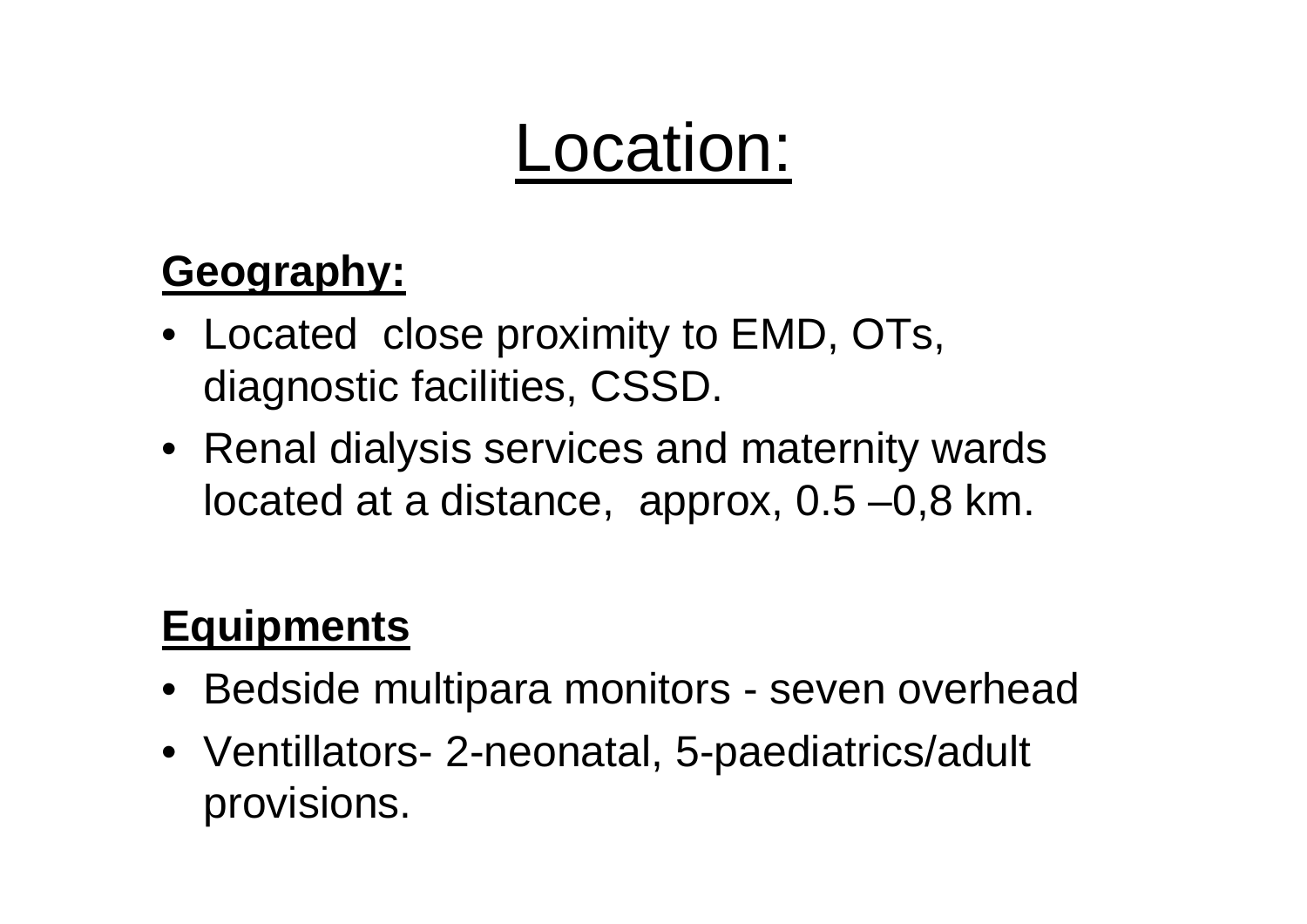# Location:

#### **Geography:**

- Located close proximity to EMD, OTs, diagnostic facilities, CSSD.
- Renal dialysis services and maternity wards located at a distance, approx, 0.5 –0,8 km.

#### **Equipments**

- Bedside multipara monitors seven overhead
- Ventillators- 2-neonatal, 5-paediatrics/adult provisions.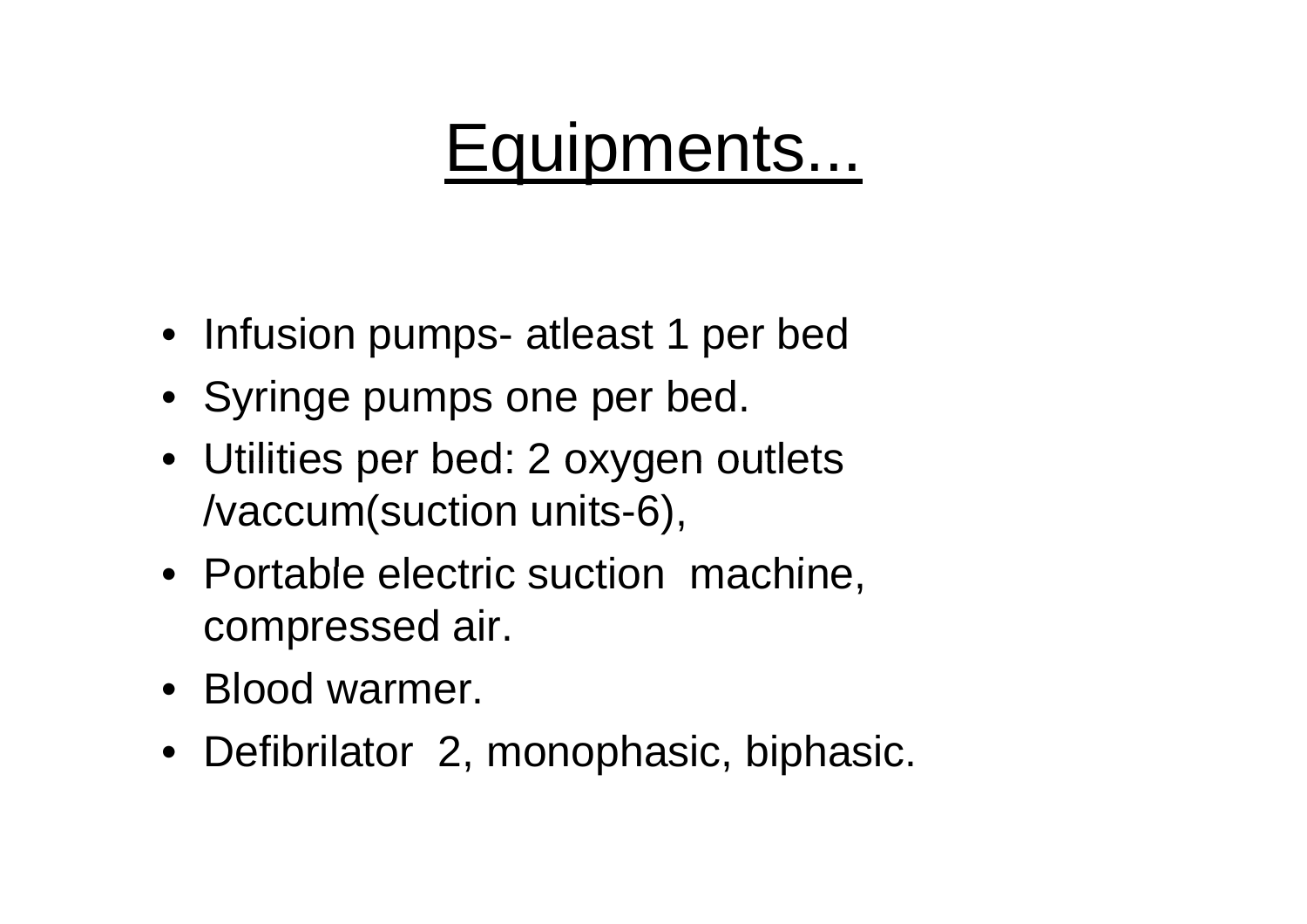#### Equipments...

- Infusion pumps- atleast 1 per bed
- Syringe pumps one per bed.
- Utilities per bed: 2 oxygen outlets /vaccum(suction units-6),
- $\bullet$  Portable electric suction machine, compressed air.
- Blood warmer.
- Defibrilator 2, monophasic, biphasic.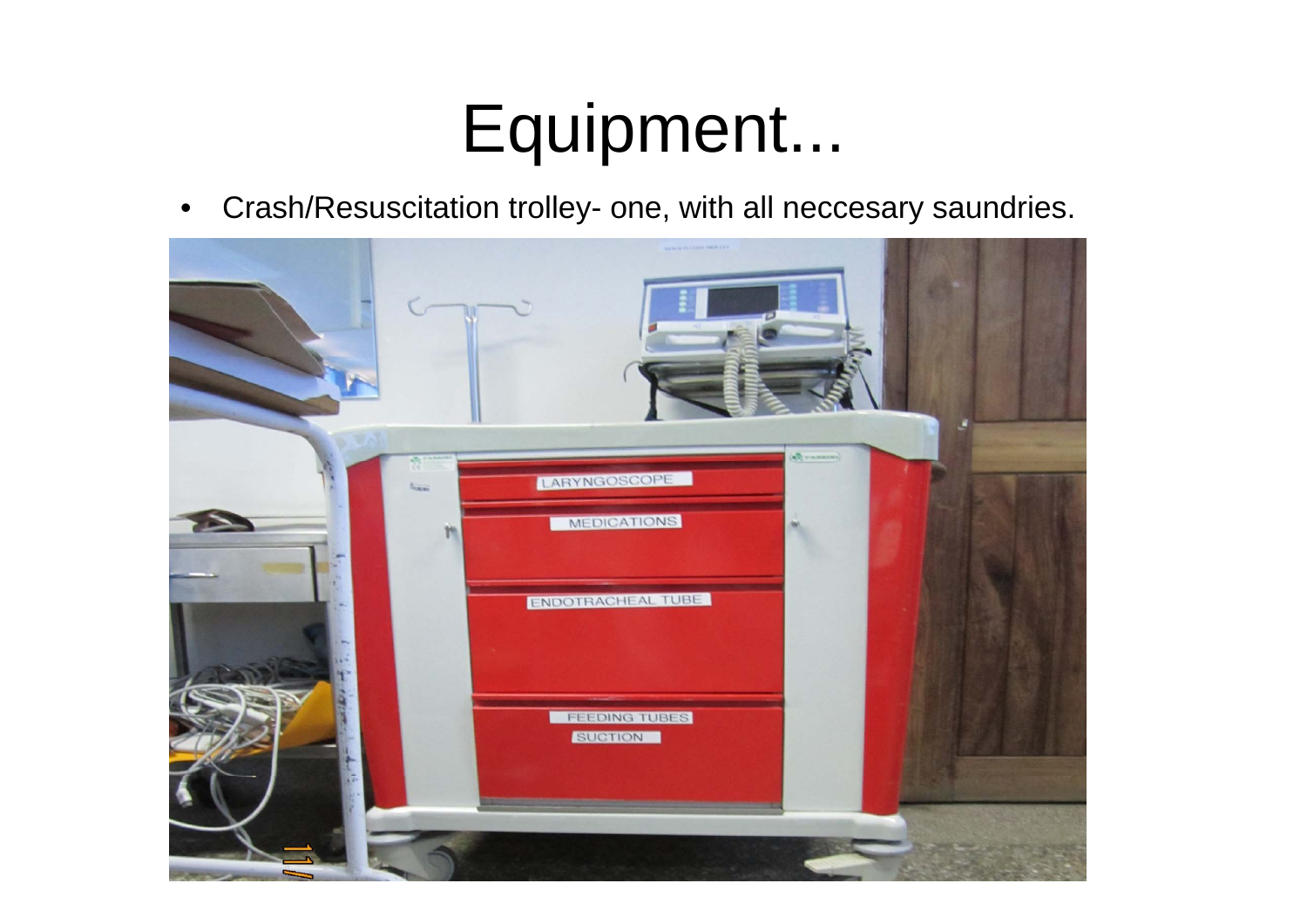# Equipment...

•Crash/Resuscitation trolley- one, with all neccesary saundries.

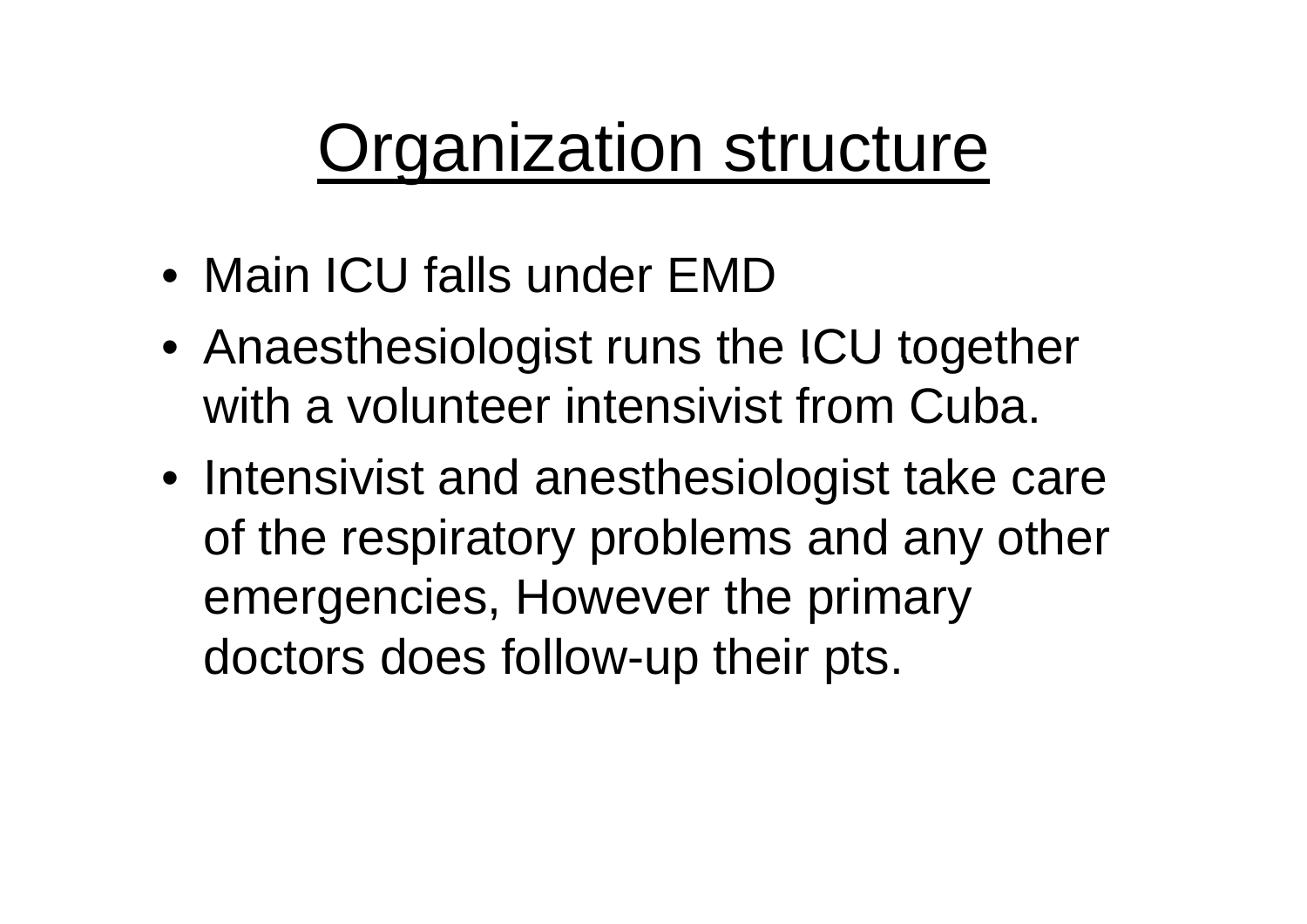## Organization structure

- Main ICU falls under EMD
- $\bullet\,$  Anaesthesiologist runs the ICU together with a volunteer intensivist from Cuba.
- Intensivist and anesthesiologist take care of the respiratory problems and any other emergencies, However the primary doctors does follow-up their pts.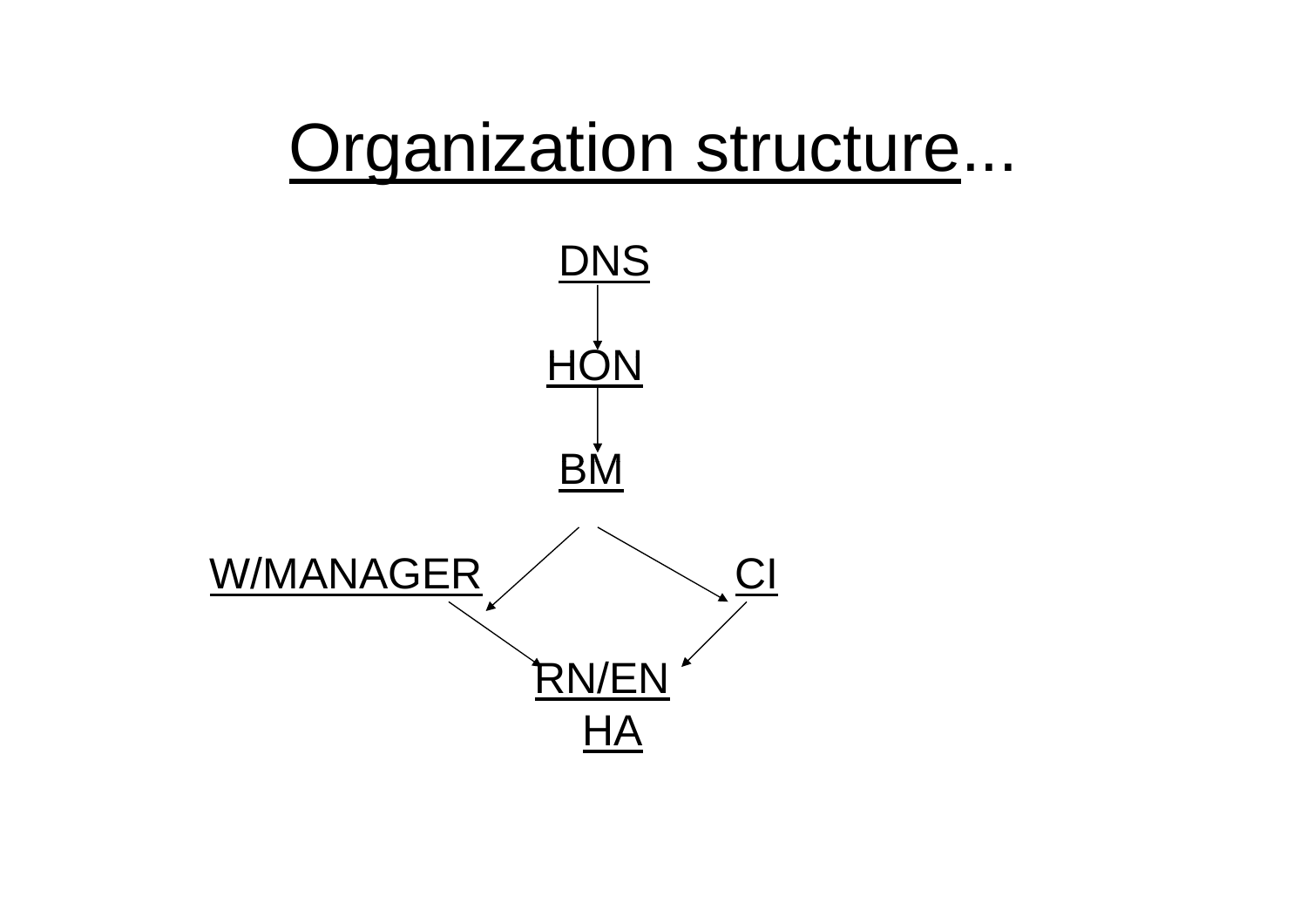#### Organization structure...

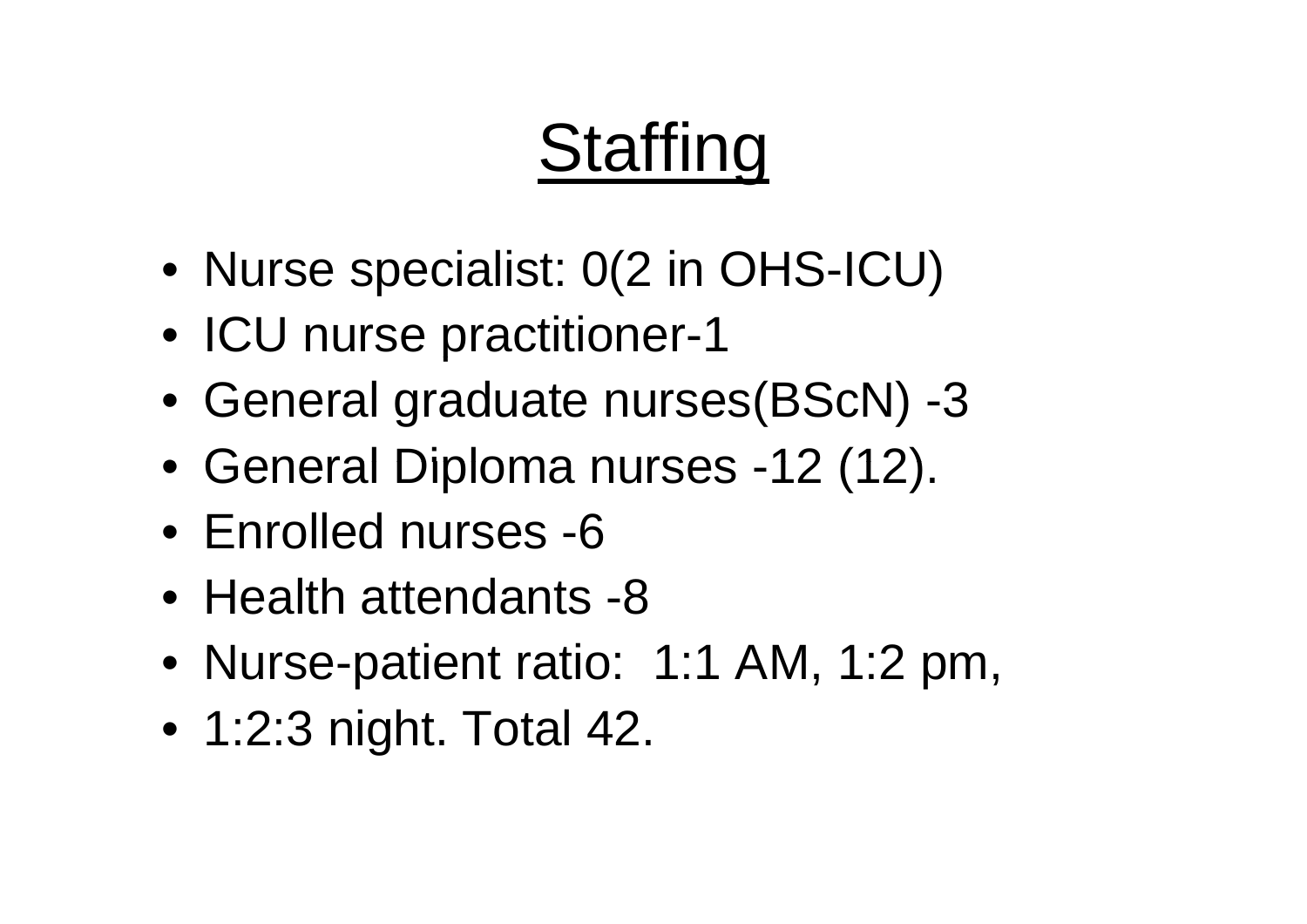# **Staffing**

- Nurse specialist: 0(2 in OHS-ICU)
- ICU nurse practitioner-1
- General graduate nurses(BScN) -3
- General Diploma nurses -12 (12).
- Enrolled nurses -6
- Health attendants -8
- Nurse-patient ratio: 1:1 AM, 1:2 pm,
- 1:2:3 night. Total 42.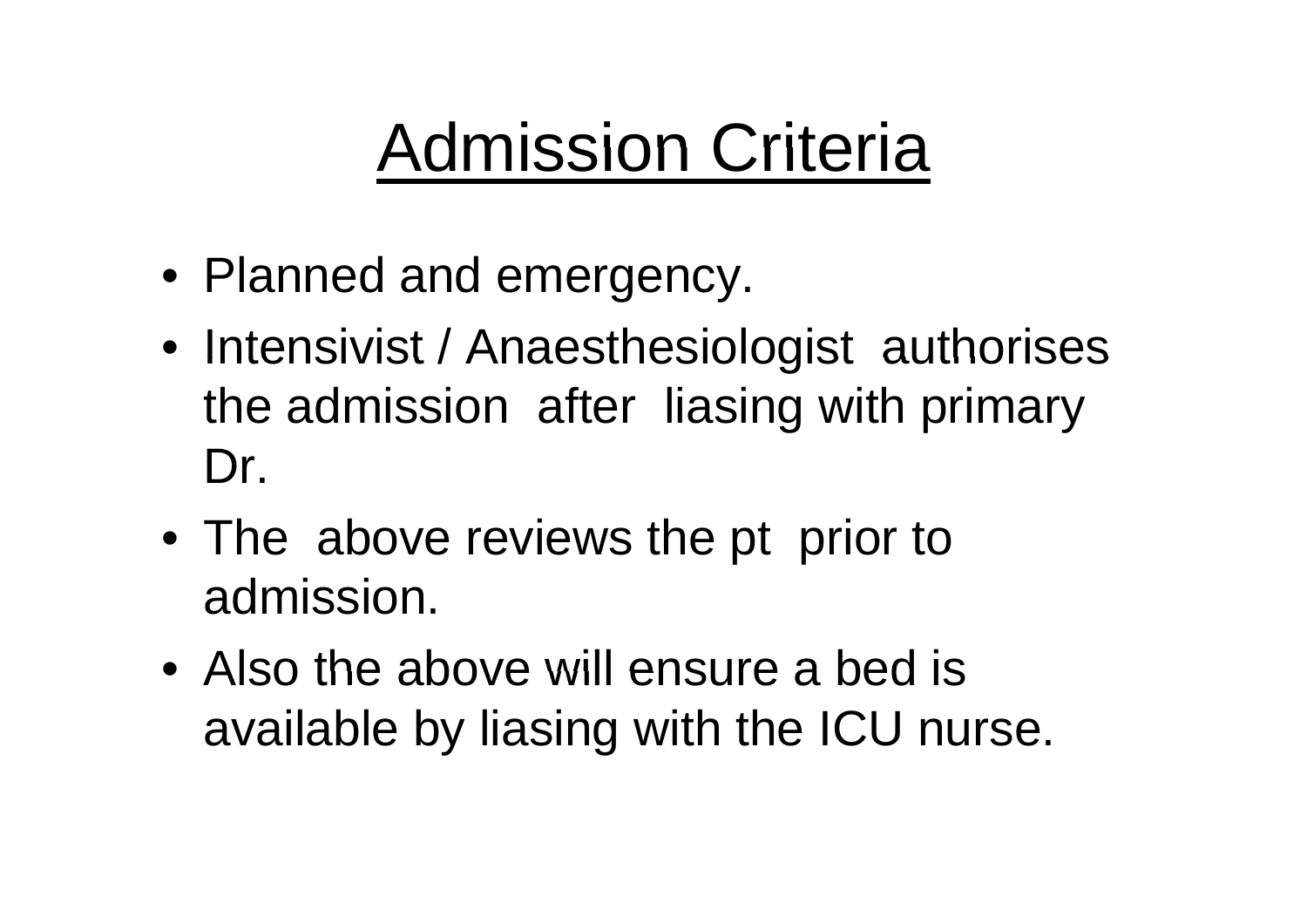# Admission Criteria

- Planned and emergency.
- Intensivist / Anaesthesiologist authorises the admission after liasing with primary Dr.
- The above reviews the pt prior to admission.
- Also the above will ensure a bed is available by liasing with the ICU nurse.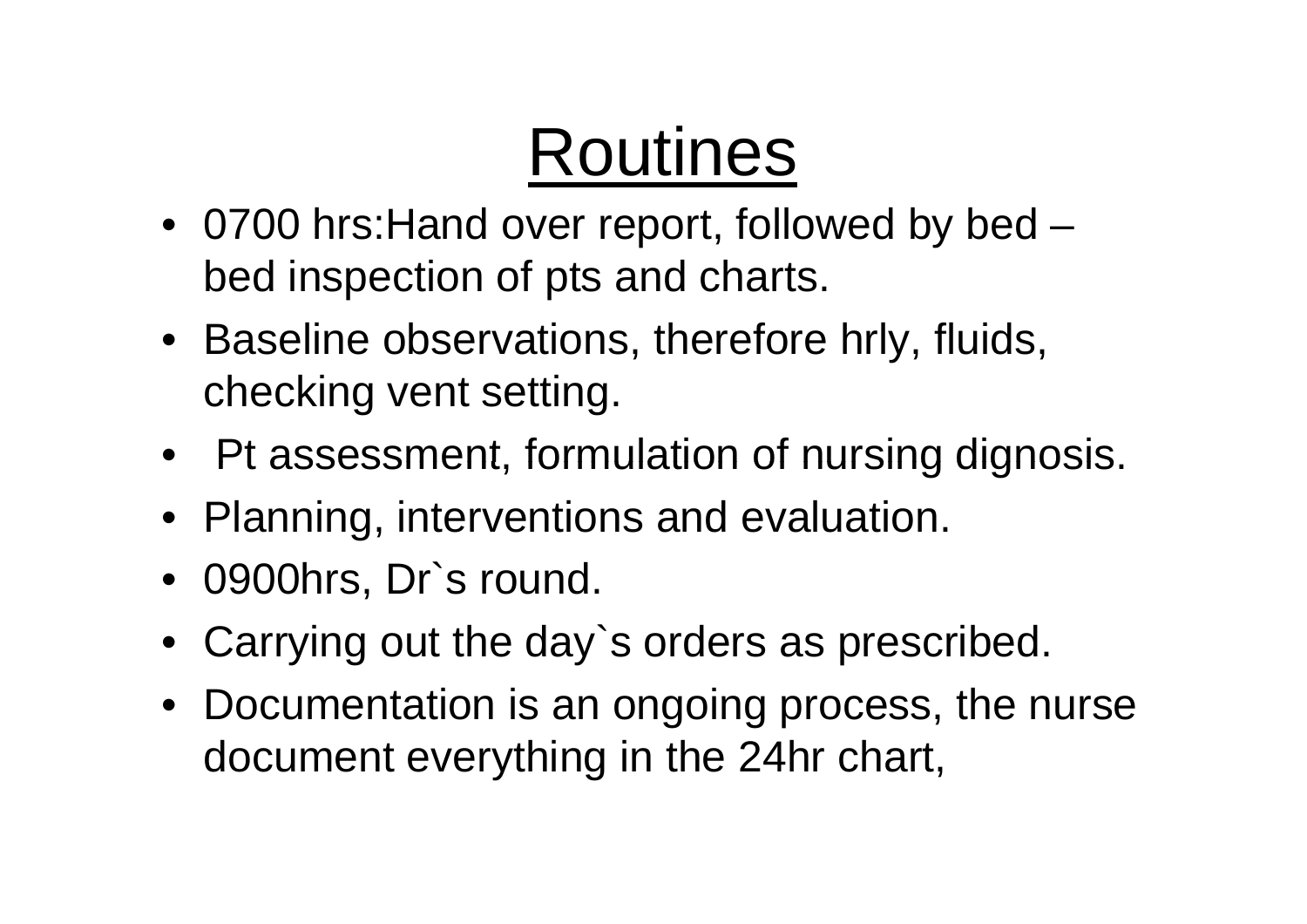# Routines

- 0700 hrs:Hand over report, followed by bed bed inspection of pts and charts.
- $\bullet~$  Baseline observations, therefore hrly, fluids, checking vent setting.
- Pt assessment, formulation of nursing dignosis.
- Planning, interventions and evaluation.
- 0900hrs, Dr`s round.
- Carrying out the day`s orders as prescribed.
- Documentation is an ongoing process, the nurse document everything in the 24hr chart,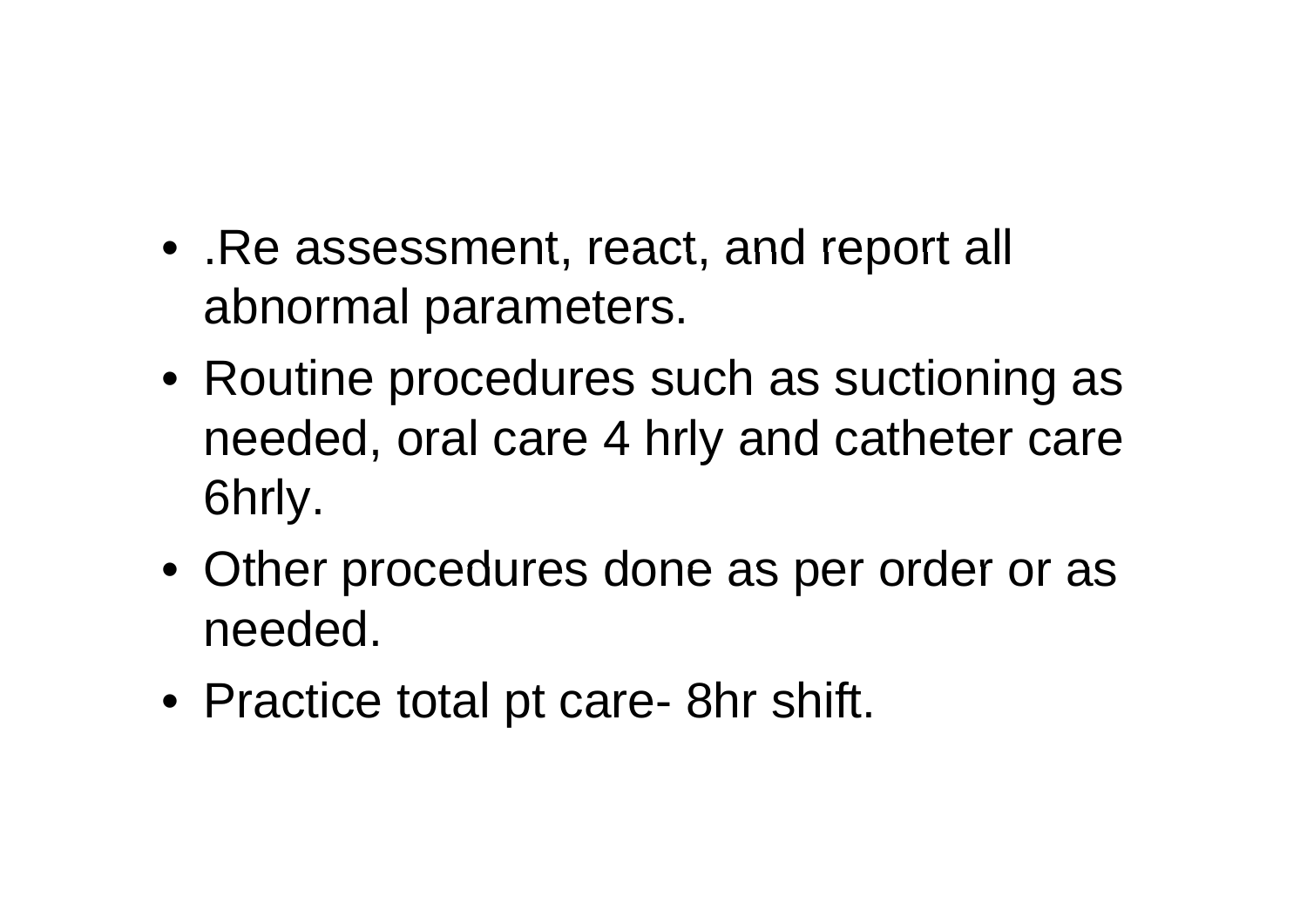- .Re assessment, react, and report all abnormal parameters.
- Routine procedures such as suctioning as needed, oral care 4 hrly and catheter care 6hrly.
- Other procedures done as per order or as needed.
- Practice total pt care- 8hr shift.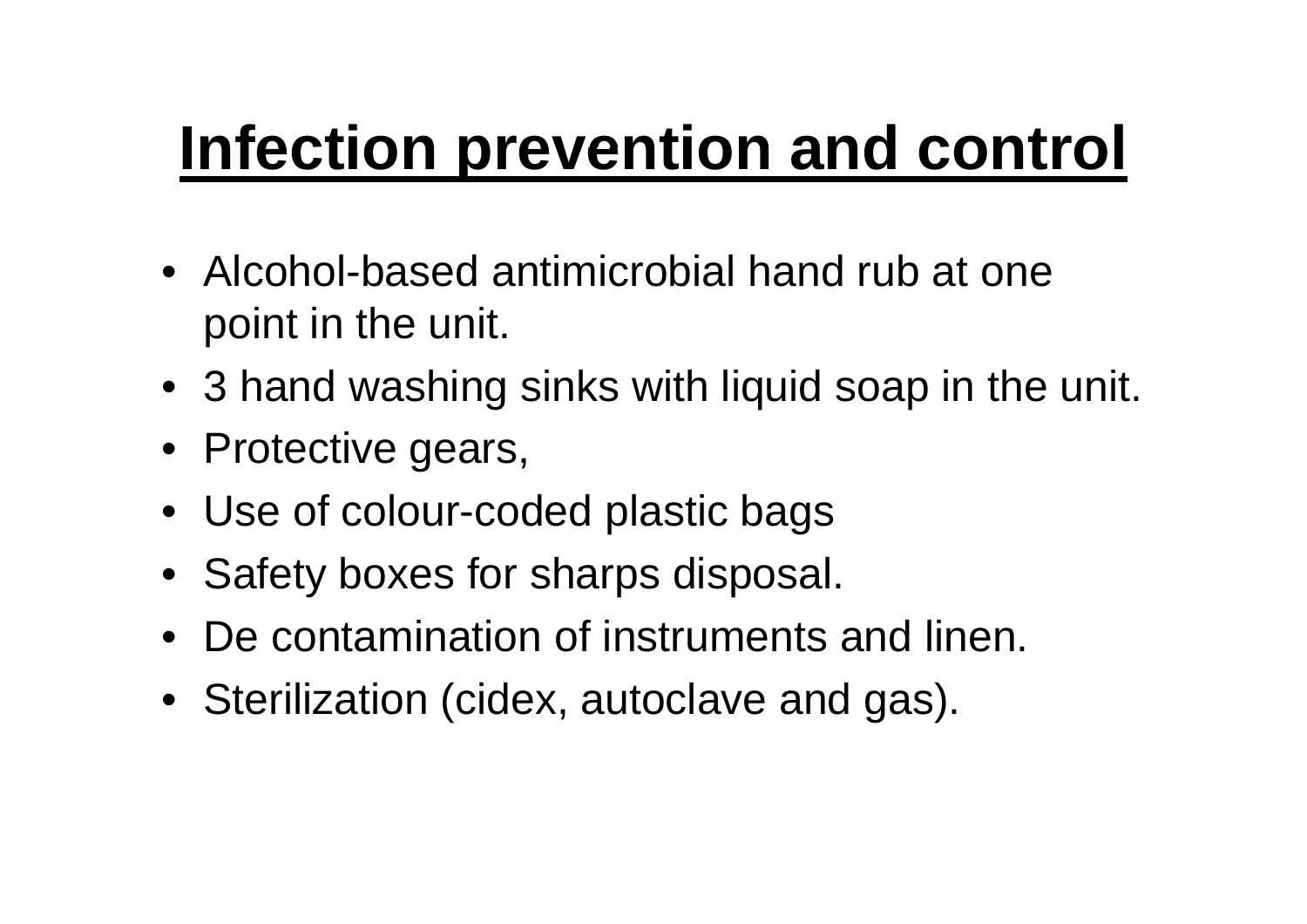#### **Infection prevention and control and**

- Alcohol-based antimicrobial hand rub at one point in the unit.
- 3 hand washing sinks with liquid soap in the unit.
- Protective gears,
- Use of colour-coded plastic bags
- Safety boxes for sharps disposal.
- De contamination of instruments and linen.
- Sterilization (cidex, autoclave and gas).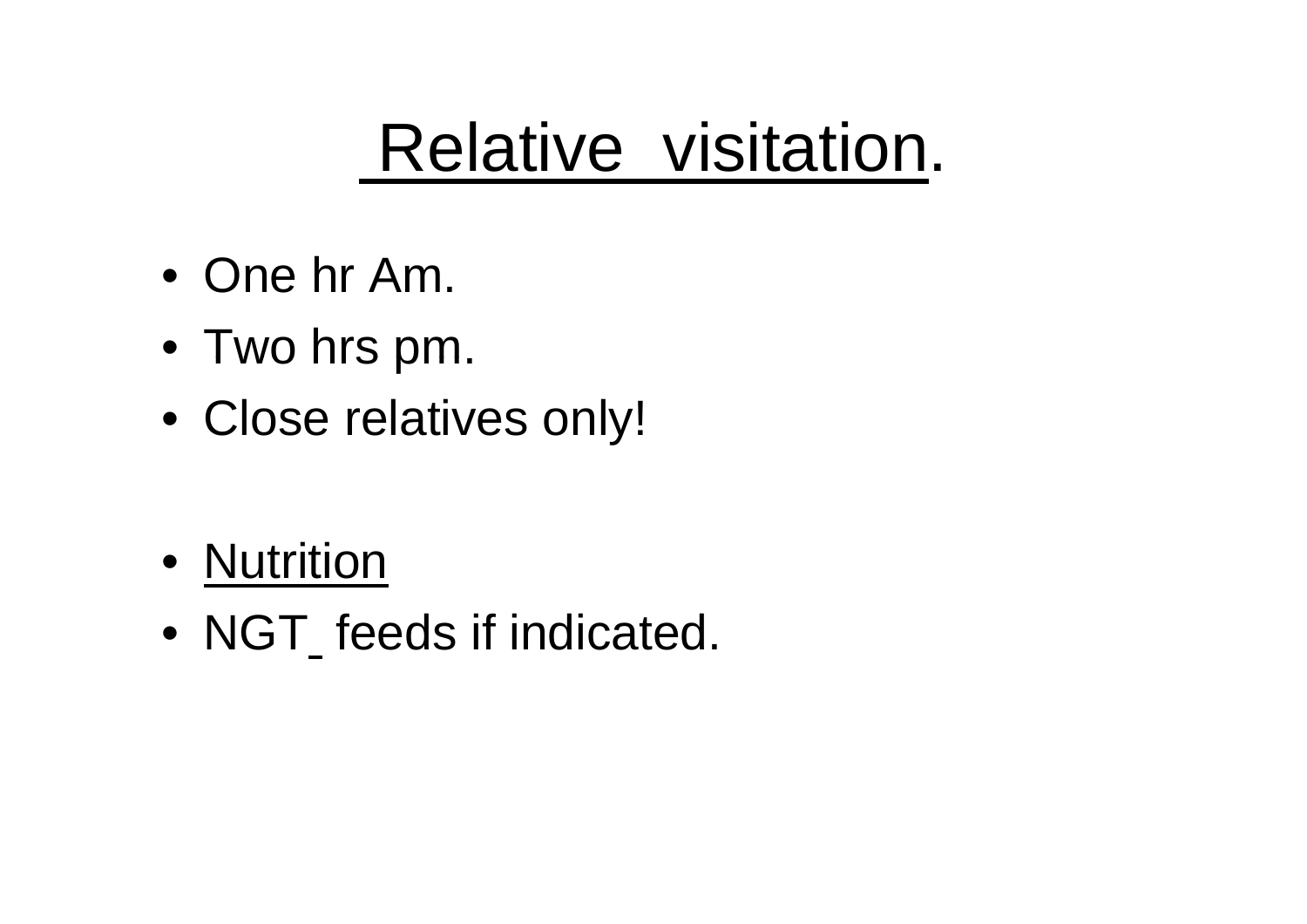# Relative visitation.

- One hr Am.
- $\bullet\,$  Two hrs pm.
- Close relatives only!
- Nutrition
- NGT feeds if indicated.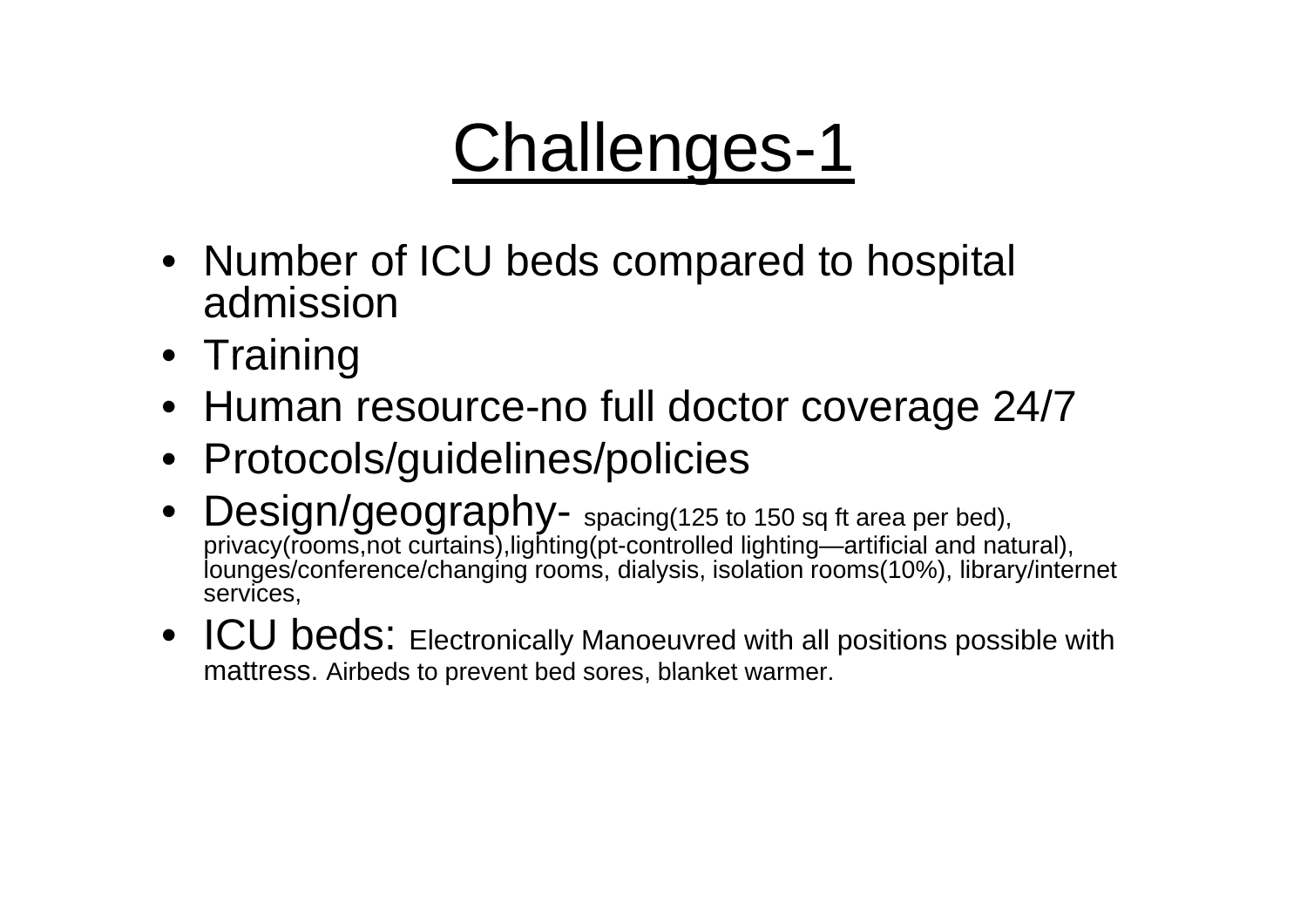## Challenges-1

- Number of ICU beds compared to hospital admission
- Training
- Human resource-no full doctor coverage 24/7
- Protocols/guidelines/policies
- Design/geography- spacing(125 to 150 sq ft area per bed), privacy(rooms,not curtains),lighting(pt-controlled lighting—artificial and natural), lounges/conference/changing rooms, dialysis, isolation rooms(10%), library/internet services,
- $\bullet$   $\mathsf{ICU}$  beds: Electronically Manoeuvred with all positions possible with mattress. Airbeds to prevent bed sores, blanket warmer.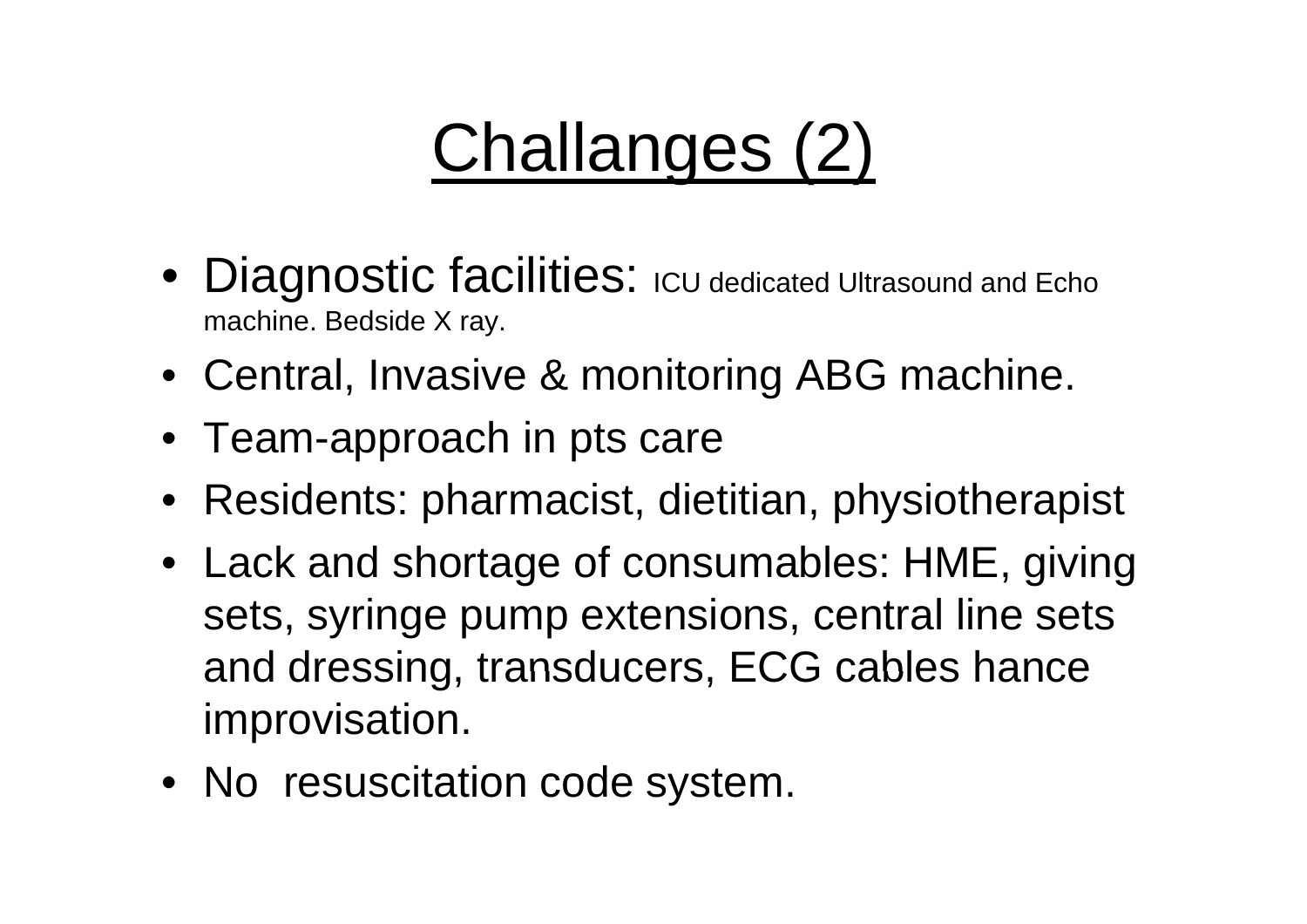# Challanges (2)

- Diagnostic facilities: ICU dedicated Ultrasound and Echo machine. Bedside X ray.
- Central, Invasive & monitoring ABG machine.
- Team-approach in pts care
- Residents: pharmacist, dietitian, physiotherapist
- Lack and shortage of consumables: HME, giving sets, syringe pump extensions, central line sets and dressing, transducers, ECG cables hance improvisation.
- No resuscitation code system.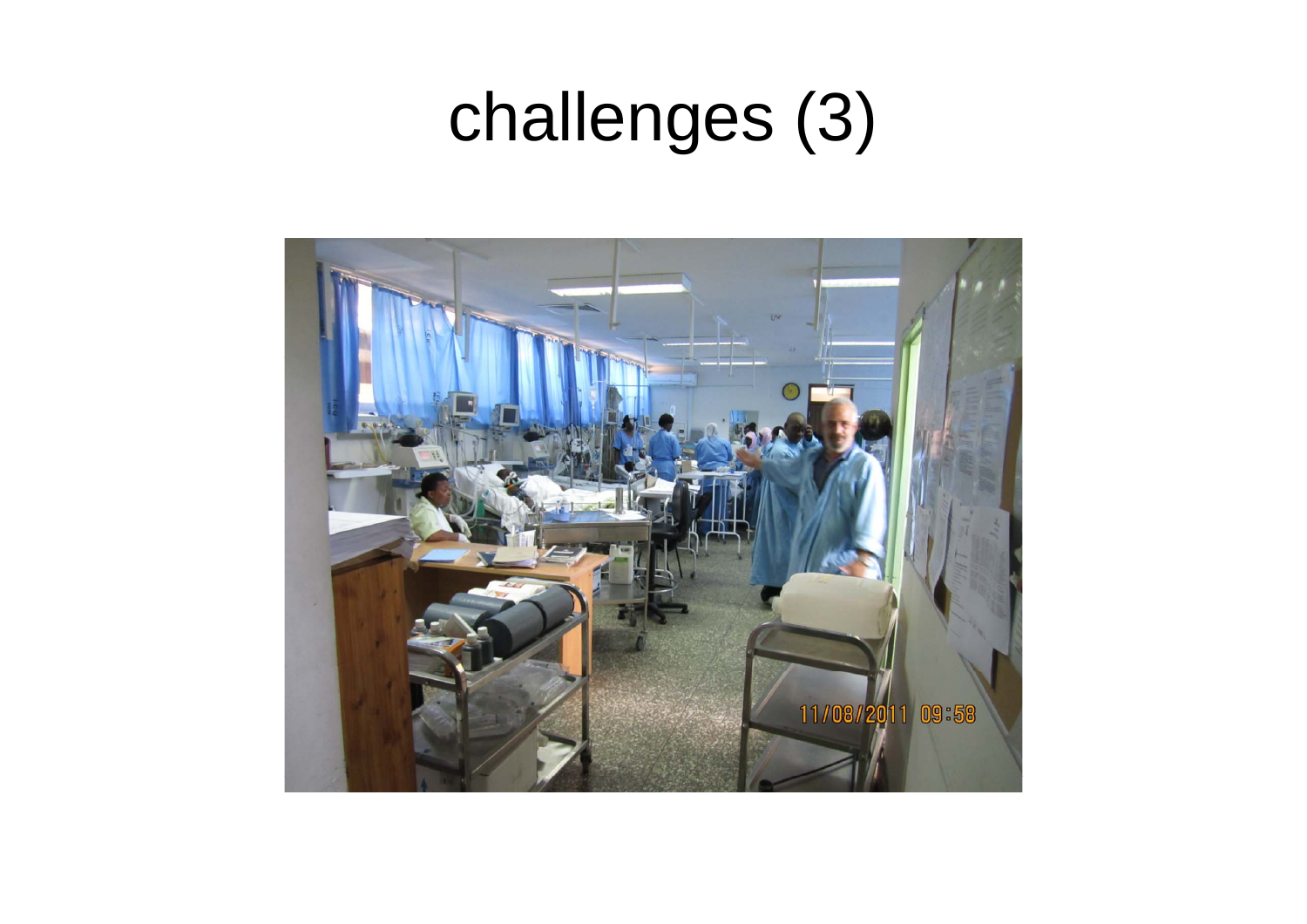# challenges (3)

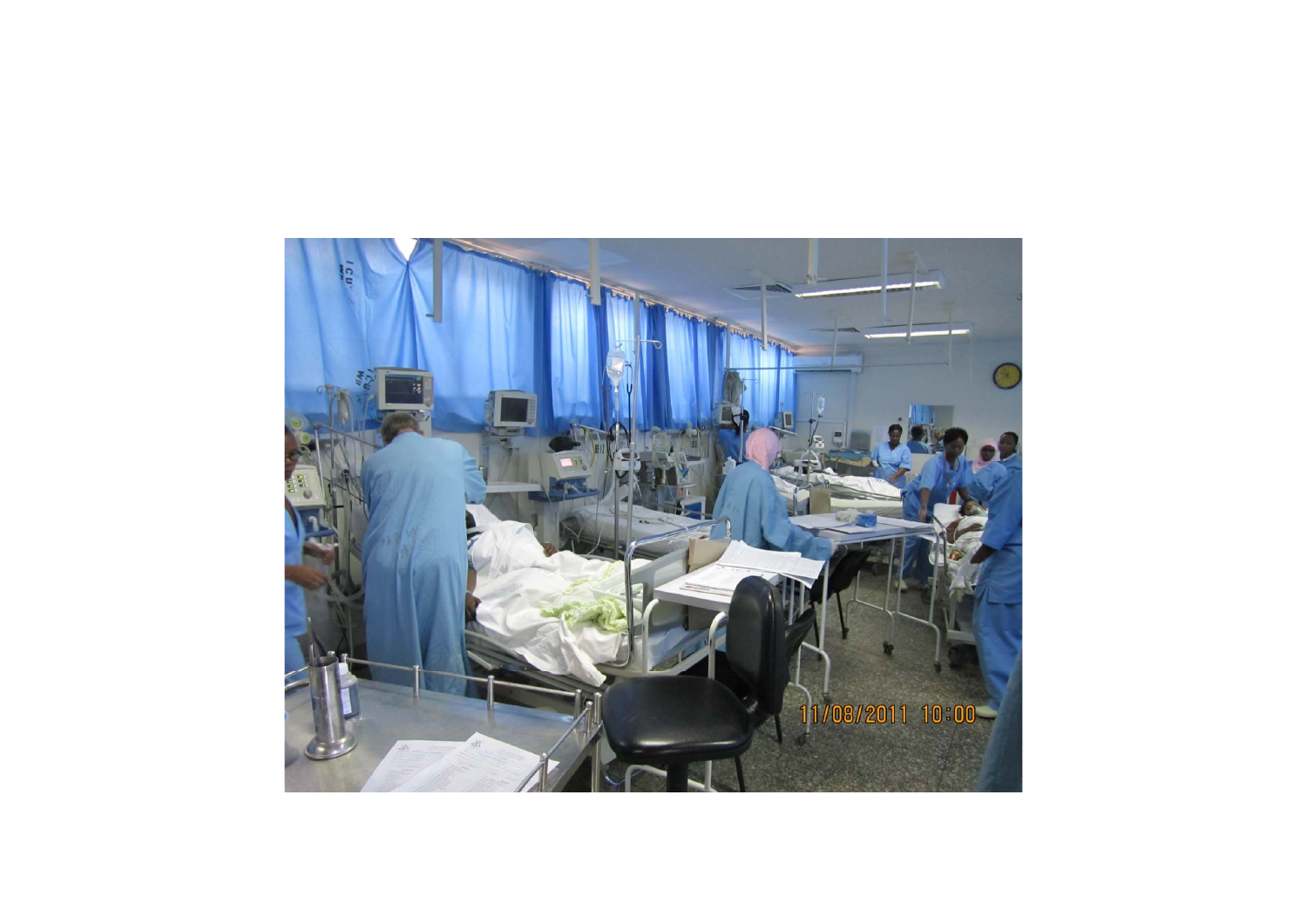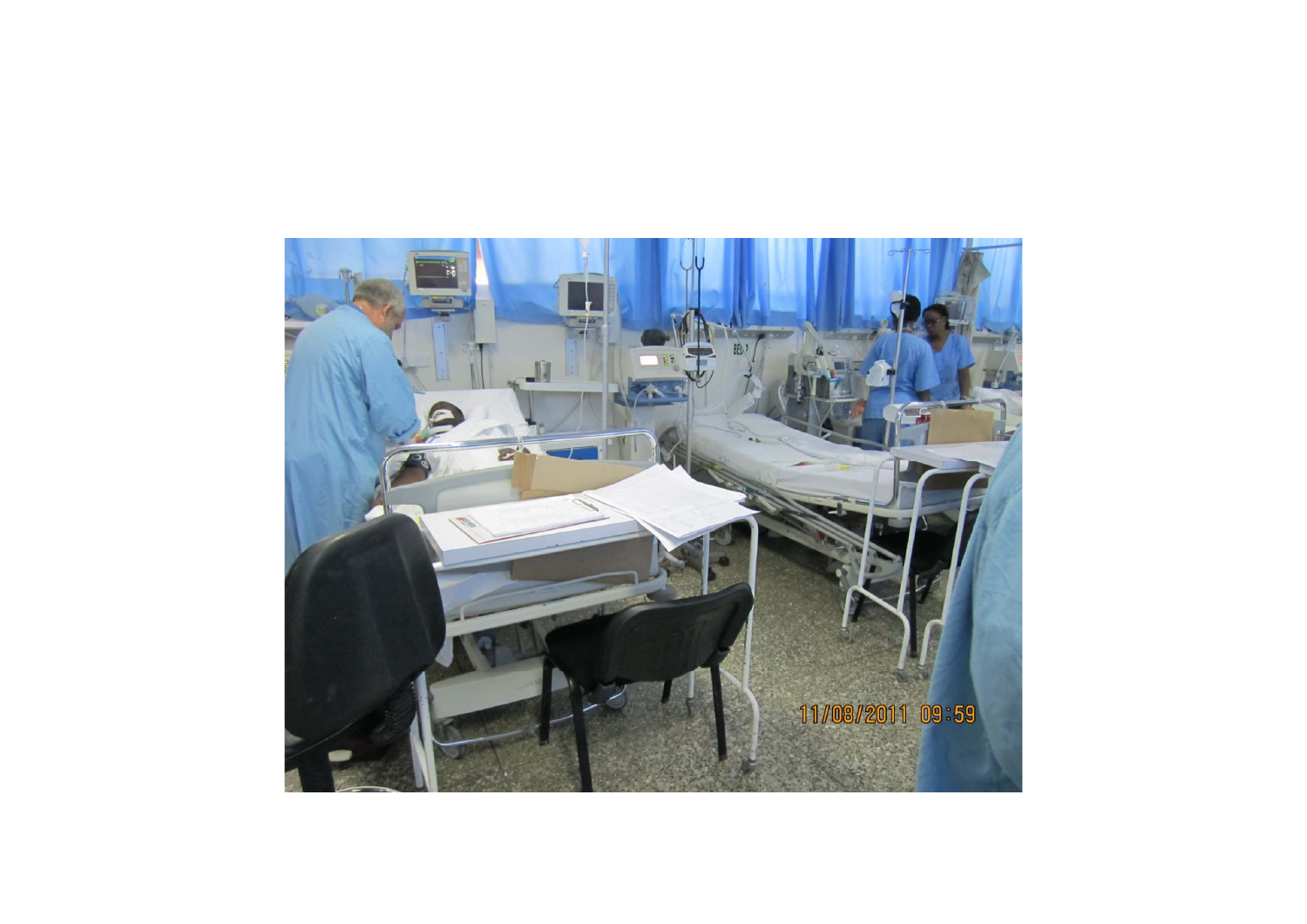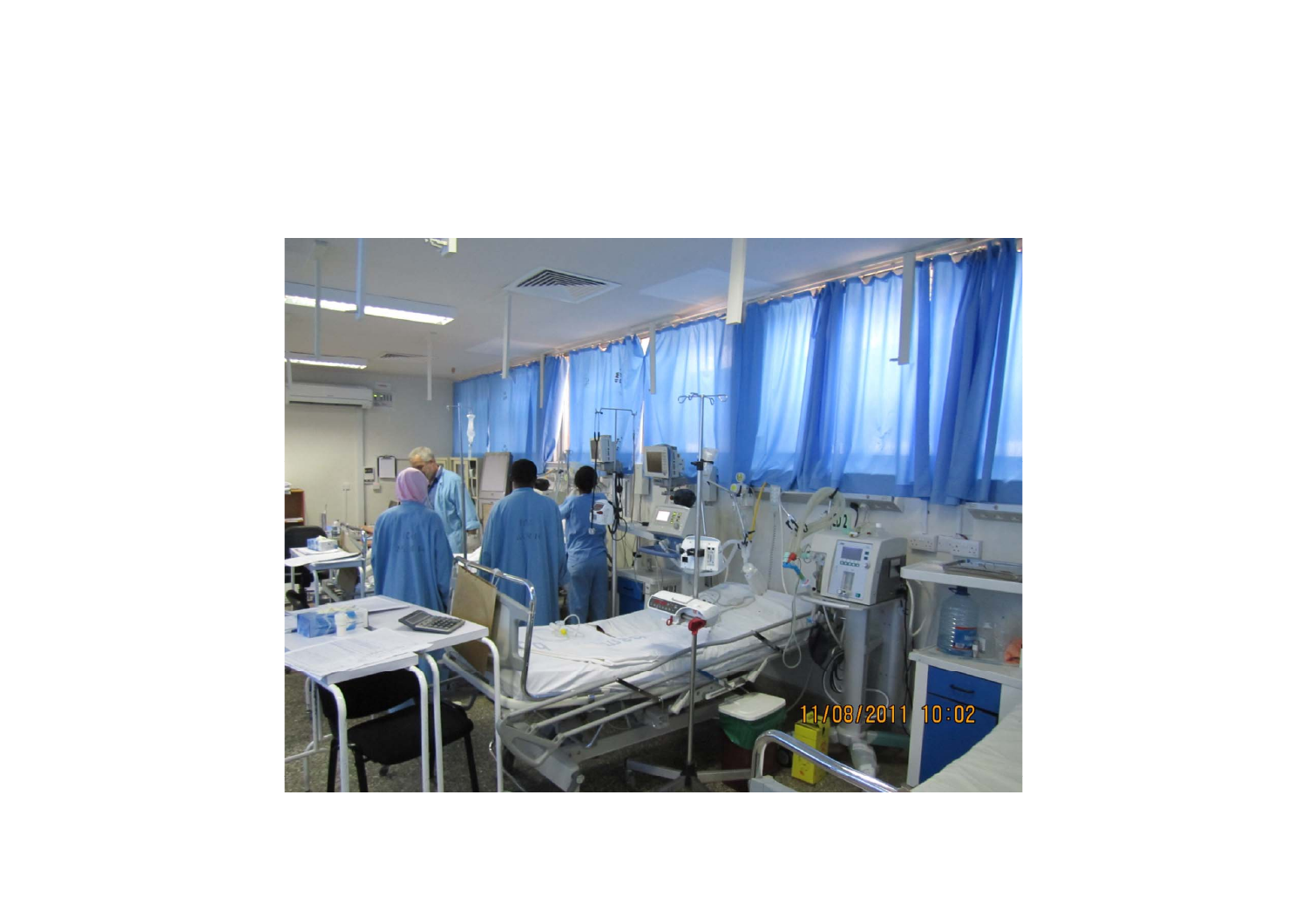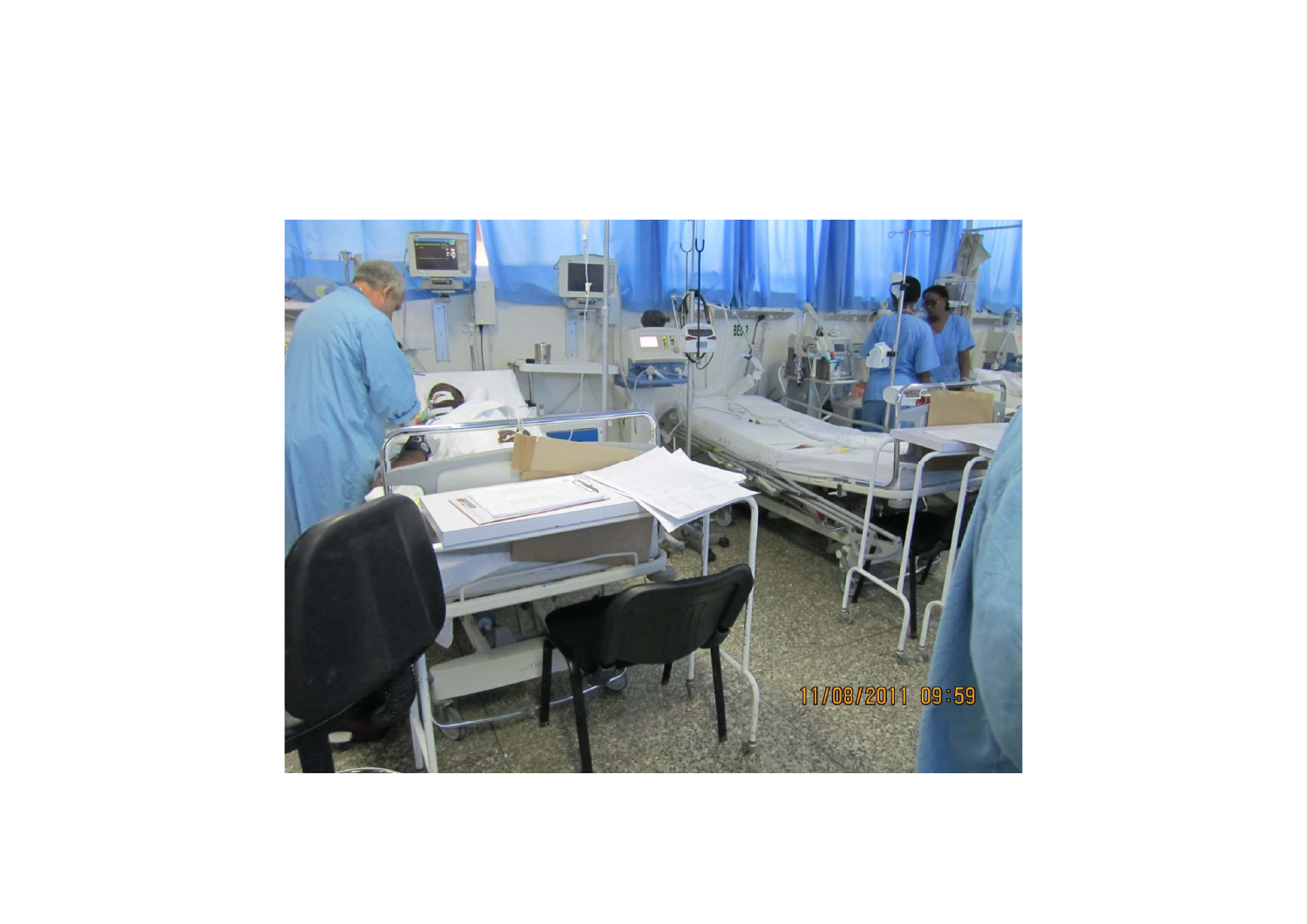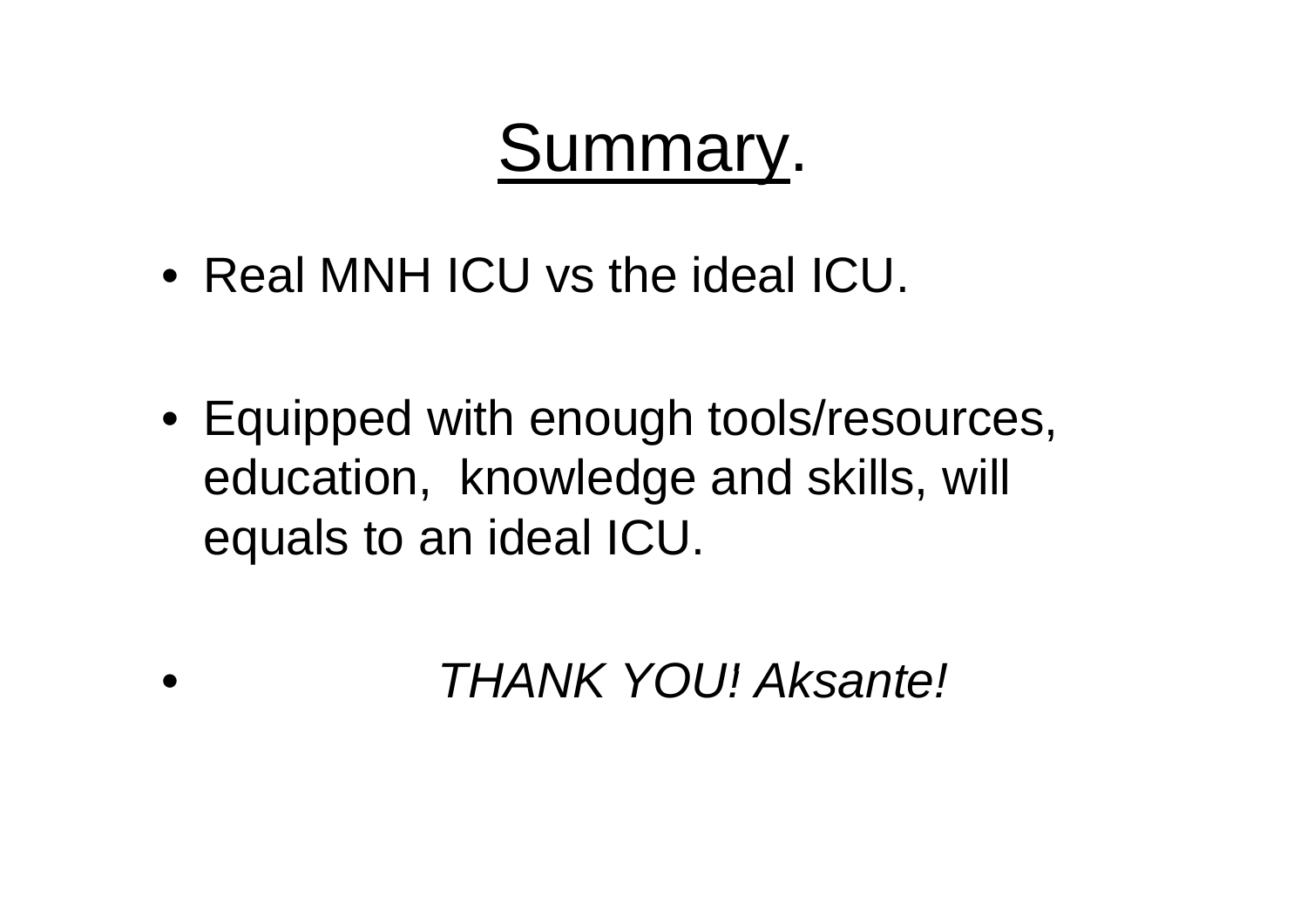# Summary.

• Real MNH ICU vs the ideal ICU.

•

• Equipped with enough tools/resources, education, knowledge and skills, will equals to an ideal ICU.

*THANK YOU! Aksante!*